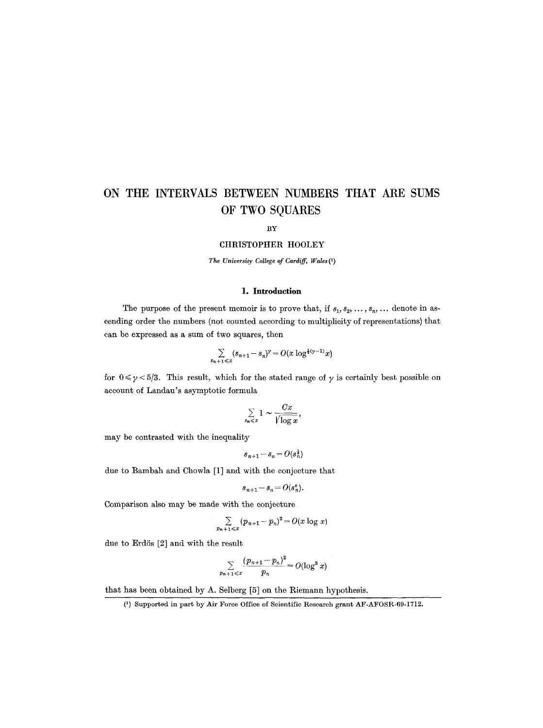BY

#### CHRISTOPHER HOOLEY

*The University College of Cardiff, Wales (1)* 

### **1. Introduction**

The purpose of the present memoir is to prove that, if  $s_1, s_2, \ldots, s_n, \ldots$  denote in ascending order the numbers (not counted according to multiplicity of representations) that can be expressed as a sum of two squares, then

$$
\sum_{s_n+1\leqslant x}(s_{n+1}-s_n)^\gamma=O(x\log^{\frac{1}{2}(\gamma-1)}x)
$$

for  $0 \le \gamma \le 5/3$ . This result, which for the stated range of  $\gamma$  is certainly best possible on account of Landau's asymptotic formula

$$
\sum_{s_n \leqslant x} 1 \sim \frac{Cx}{\sqrt{\log x}},
$$

may be contrasted with the inequality

$$
s_{n+1} - s_n = O(s_n^{\frac{1}{4}})
$$

due to Bambah and Chowla [1] and with the conjecture that

$$
s_{n+1} - s_n = O(s_n^{\varepsilon}).
$$

Comparison also may be made with the conjecture

$$
\sum_{p_{n+1}\leqslant x}(p_{n+1}-p_n)^2=O(x\log x)
$$

due to Erdös  $[2]$  and with the result

$$
\sum_{p_{n+1}\leqslant x}\frac{(p_{n+1}-p_n)^2}{p_n}=O(\log^3 x)
$$

that has been obtained by A. Selberg [5] on the Riemann hypothesis.

<sup>(1)</sup> Supported in part by Air Force Office of Scientific Research grant AF-AFOSR-69-1712.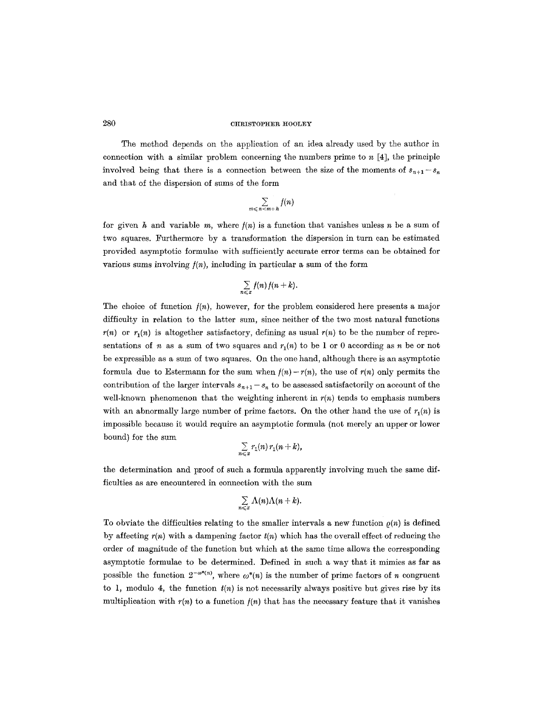The method depends on the application of an idea already used by the author in connection with a similar problem concerning the numbers prime to  $n \ [4]$ , the principle involved being that there is a connection between the size of the moments of  $s_{n+1}-s_n$ and that of the dispersion of sums of the form

$$
\sum_{m \leq n < m+h} f(n)
$$

for given h and variable m, where  $f(n)$  is a function that vanishes unless n be a sum of two squares. Furthermore by a transformation the dispersion in turn can be estimated provided asymptotic formulae with sufficiently accurate error terms can be obtained for various sums involving  $f(n)$ , including in particular a sum of the form

$$
\sum_{n\leqslant x}f(n)\,f(n+k).
$$

The choice of function  $f(n)$ , however, for the problem considered here presents a major difficulty in relation to the latter sum, since neither of the two most natural functions  $r(n)$  or  $r<sub>1</sub>(n)$  is altogether satisfactory, defining as usual  $r(n)$  to be the number of representations of n as a sum of two squares and  $r_1(n)$  to be 1 or 0 according as n be or not be expressible as a sum of two squares. On the one hand, although there is an asymptotic formula due to Estermann for the sum when  $f(n) = r(n)$ , the use of  $r(n)$  only permits the contribution of the larger intervals  $s_{n+1} - s_n$  to be assessed satisfactorily on account of the well-known phenomenon that the weighting inherent in *r(n)* tends to emphasis numbers with an abnormally large number of prime factors. On the other hand the use of  $r_1(n)$  is impossible because it would require an asymptotic formula (not merely an upper or lower bound) for the sum

$$
\sum_{n\leqslant x}r_1(n)\,r_1(n+k),
$$

the determination and proof of such a formula apparently involving much the same difficulties as are encountered in connection with the sum

$$
\sum_{n\leqslant x}\Lambda(n)\Lambda(n+k).
$$

To obviate the difficulties relating to the smaller intervals a new function  $\rho(n)$  is defined by affecting *r(n)* with a dampening factor *t(n)* which has the overall effect of reducing the order of magnitude of the function but which at the same time allows the corresponding asymptotic formulae to be determined. Defined in such a way that it mimics as far as possible the function  $2^{-\omega^*(n)}$ , where  $\omega^*(n)$  is the number of prime factors of n congruent to 1, modulo 4, the function  $t(n)$  is not necessarily always positive but gives rise by its multiplication with  $r(n)$  to a function  $f(n)$  that has the necessary feature that it vanishes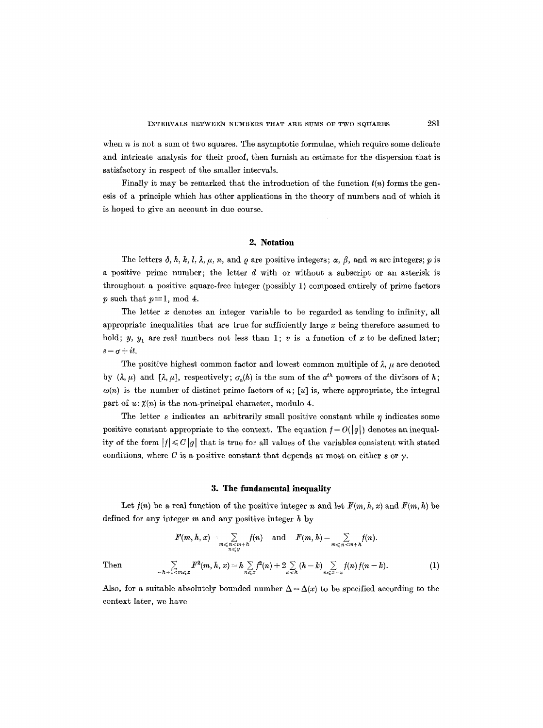when  $n$  is not a sum of two squares. The asymptotic formulae, which require some delicate and intricate analysis for their proof, then furnish an estimate for the dispersion that is satisfactory in respect of the smaller intervals.

Finally it may be remarked that the introduction of the function  $t(n)$  forms the genesis of a principle which has other applications in the theory of numbers and of which it is hoped to give an account in due course.

### **2. Notation**

The letters  $\delta$ , h, k, l,  $\lambda$ ,  $\mu$ , n, and  $\rho$  are positive integers;  $\alpha$ ,  $\beta$ , and m are integers; p is a positive prime number; the letter  $d$  with or without a subscript or an asterisk is throughout a positive square-free integer (possibly 1) composed entirely of prime factors p such that  $p \equiv 1$ , mod 4.

The letter x denotes an integer variable to be regarded as tending to infinity, all appropriate inequalities that are true for sufficiently large  $x$  being therefore assumed to hold; y,  $y_1$  are real numbers not less than 1; v is a function of x to be defined later;  $s=\sigma+it$ .

The positive highest common factor and lowest common multiple of  $\lambda$ ,  $\mu$  are denoted by  $(\lambda, \mu)$  and  $[\lambda, \mu]$ , respectively;  $\sigma_n(h)$  is the sum of the  $a^{th}$  powers of the divisors of h;  $\omega(n)$  is the number of distinct prime factors of n; [u] is, where appropriate, the integral part of  $u: \chi(n)$  is the non-principal character, modulo 4.

The letter  $\varepsilon$  indicates an arbitrarily small positive constant while  $\eta$  indicates some positive constant appropriate to the context. The equation  $f = O(|g|)$  denotes an inequality of the form  $|f| \leq C |g|$  that is true for all values of the variables consistent with stated conditions, where C is a positive constant that depends at most on either  $\varepsilon$  or  $\gamma$ .

#### **3. The fundamental inequality**

Let  $f(n)$  be a real function of the positive integer n and let  $F(m, h, x)$  and  $F(m, h)$  be defined for any integer  $m$  and any positive integer  $h$  by

$$
F(m, h, x) = \sum_{\substack{n \le n \le n+h \\ n \le y}} f(n) \text{ and } F(m, h) = \sum_{m \le n \le n+h} f(n).
$$
  
Then  

$$
\sum_{-h+1 < m \le x} F^{2}(m, h, x) = h \sum_{n \le x} f^{2}(n) + 2 \sum_{k < h} (h - k) \sum_{n \le x - h} f(n) f(n - k).
$$
 (1)

Also, for a suitable absolutely bounded number  $\Delta = \Delta(x)$  to be specified according to the context later, we have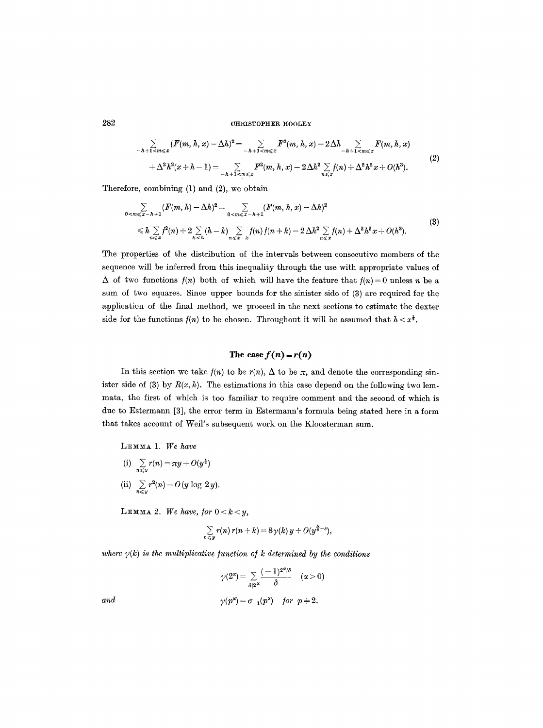$$
\sum_{-h+1 < m \leqslant x} (F(m, h, x) - \Delta h)^2 = \sum_{-h+1 < m \leqslant x} F^2(m, h, x) - 2\Delta h \sum_{-h+1 < m \leqslant x} F(m, h, x) \n+ \Delta^2 h^2(x + h - 1) = \sum_{-h+1 < m \leqslant x} F^2(m, h, x) - 2\Delta h^2 \sum_{n \leqslant x} f(n) + \Delta^2 h^2 x + O(h^3).
$$
\n(2)

Therefore, combining (1) and (2), we obtain

$$
\sum_{0 < m \leqslant x - h + 1} (F(m, h) - \Delta h)^2 = \sum_{0 < m \leqslant x - h + 1} (F(m, h, x) - \Delta h)^2
$$
\n
$$
\leqslant h \sum_{n \leqslant x} f^2(n) + 2 \sum_{k < h} (h - k) \sum_{n \leqslant x - h} f(n) f(n + k) - 2 \Delta h^2 \sum_{n \leqslant x} f(n) + \Delta^2 h^2 x + O(h^3).
$$
\n(3)

The properties of the distribution of the intervals between consecutive members of the sequence will be inferred from this inequality through the use with appropriate values of  $\Delta$  of two functions  $f(n)$  both of which will have the feature that  $f(n) = 0$  unless n be a sum of two squares. Since upper bounds for the sinister side of (3) are required for the application of the final method, we proceed in the next sections to estimate the dexter side for the functions  $f(n)$  to be chosen. Throughout it will be assumed that  $h < x^{\frac{1}{2}}$ .

# The case  $f(n) = r(n)$

In this section we take  $f(n)$  to be  $r(n)$ ,  $\Delta$  to be  $\pi$ , and denote the corresponding sinister side of (3) by  $R(x, h)$ . The estimations in this case depend on the following two lemmata, the first of which is too familiar to require comment and the second of which is due to Estermann [3], the error term in Estermann's formula being stated here in a form that takes account of Weil's subsequent work on the Kloosterman sum.

LEMMA 1. We have

(i)  $\sum_{n \leq y} r(n) = \pi y + O(y^2)$ (ii)  $\sum_{n \leq y} r^2(n) = O(y \log 2y).$ 

LEMMA 2. We have, for  $0 < k < y$ ,

$$
\sum_{n\leqslant y}r(n)\,r(n+k)=8\,\gamma(k)\,y+O(y^{\frac{5}{6}+\varepsilon}),
$$

where  $\gamma(k)$  is the multiplicative function of k determined by the conditions

$$
\gamma(2^{\alpha}) = \sum_{\delta|2^{\alpha}} \frac{(-1)^{2^{\alpha}/\delta}}{\delta} \quad (\alpha > 0)
$$
  
and  

$$
\gamma(p^{\alpha}) = \sigma_{-1}(p^{\alpha}) \quad \text{for} \quad p \neq 2.
$$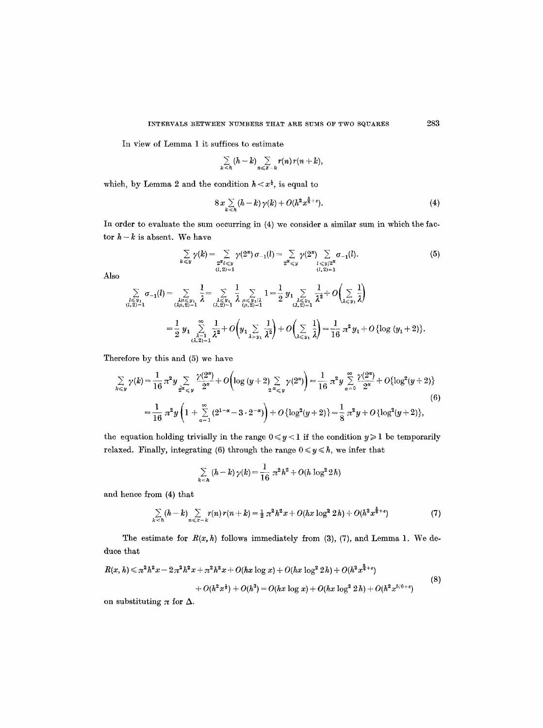In view of Lemma 1 it suffices to estimate

$$
\sum_{k\leq h} (h-k) \sum_{n\leqslant x-k} r(n) r(n+k),
$$

which, by Lemma 2 and the condition  $h < x^{\frac{1}{2}}$ , is equal to

$$
8x\sum_{k\leq h} (h-k)\,\gamma(k)+O(h^2x^{\frac{k}{6}+\varepsilon}).\tag{4}
$$

In order to evaluate the sum occurring in (4) we consider a similar sum in which the factor  $h - k$  is absent. We have

$$
\sum_{k \leq y} \gamma(k) = \sum_{\substack{2^{\alpha} \leq y \\ (l, 2) = 1}} \gamma(2^{\alpha}) \sigma_{-1}(l) = \sum_{\substack{2^{\alpha} \leq y \\ 2^{\alpha} \leq y}} \gamma(2^{\alpha}) \sum_{\substack{l \leq y/2^{\alpha} \\ (l, 2) = 1}} \sigma_{-1}(l). \tag{5}
$$

Also

$$
\sum_{\substack{l \leq y_1 \\ (l,2)=1}} \sigma_{-1}(l) = \sum_{\substack{\lambda \mu \leq y_1 \\ (\lambda \mu, 2)=1}} \frac{1}{\lambda} = \sum_{\substack{\lambda \leq y_1 \\ (\lambda, 2)=1}} \frac{1}{\lambda} \sum_{\substack{\mu \leq y_1 \\ (\mu, 2)=1}} 1 = \frac{1}{2} y_1 \sum_{\substack{\lambda \leq y_1 \\ (\lambda, 2)=1}} \frac{1}{\lambda^2} + O\left(\sum_{\lambda \leq y_1} \frac{1}{\lambda}\right)
$$
\n
$$
= \frac{1}{2} y_1 \sum_{\substack{\lambda = 1 \\ (\lambda, 2)=1}} \frac{1}{\lambda^2} + O\left(y_1 \sum_{\lambda > y_1} \frac{1}{\lambda^2}\right) + O\left(\sum_{\lambda \leq y_1} \frac{1}{\lambda}\right) = \frac{1}{16} \pi^2 y_1 + O\left\{\log\left(y_1 + 2\right)\right\}.
$$

Therefore by this and (5) we have

$$
\sum_{k \leq y} \gamma(k) = \frac{1}{16} \pi^2 y \sum_{2^{\alpha} \leq y} \frac{\gamma(2^{\alpha})}{2^{\alpha}} + O\left(\log\left(y+2\right) \sum_{2^{\alpha} \leq y} \gamma(2^{\alpha})\right) = \frac{1}{16} \pi^2 y \sum_{\alpha=0}^{\infty} \frac{\gamma(2^{\alpha})}{2^{\alpha}} + O\{\log^2(y+2)\}
$$
\n
$$
= \frac{1}{16} \pi^2 y \left(1 + \sum_{\alpha=1}^{\infty} \left(2^{1-\alpha} - 3 \cdot 2^{-\alpha}\right)\right) + O\left\{\log^2(y+2)\right\} = \frac{1}{8} \pi^2 y + O\left\{\log^2(y+2)\right\},\tag{6}
$$

the equation holding trivially in the range  $0 \le y < 1$  if the condition  $y \ge 1$  be temporarily relaxed. Finally, integrating (6) through the range  $0 \leq y \leq h$ , we infer that

$$
\sum_{k < h} (h - k) \gamma(k) = \frac{1}{16} \pi^2 h^2 + O(h \log^2 2h)
$$

and hence from (4) that

$$
\sum_{k < h} (h - k) \sum_{n \leq x - k} r(n) \, r(n + k) = \frac{1}{2} \, \pi^2 h^2 x + O(hx \log^2 2h) + O(h^2 x^{\frac{5}{6} + \varepsilon}) \tag{7}
$$

The estimate for  $R(x, h)$  follows immediately from (3), (7), and Lemma 1. We deduce that

$$
R(x, h) \leq \pi^2 h^2 x - 2\pi^2 h^2 x + \pi^2 h^2 x + O(hx \log x) + O(hx \log^2 2h) + O(h^2 x^{\frac{5}{6}+\epsilon})
$$
  
+  $O(h^2 x^{\frac{1}{2}}) + O(h^3) = O(hx \log x) + O(hx \log^2 2h) + O(h^2 x^{5/6+\epsilon})$  (8)

on substituting  $\pi$  for  $\Delta$ .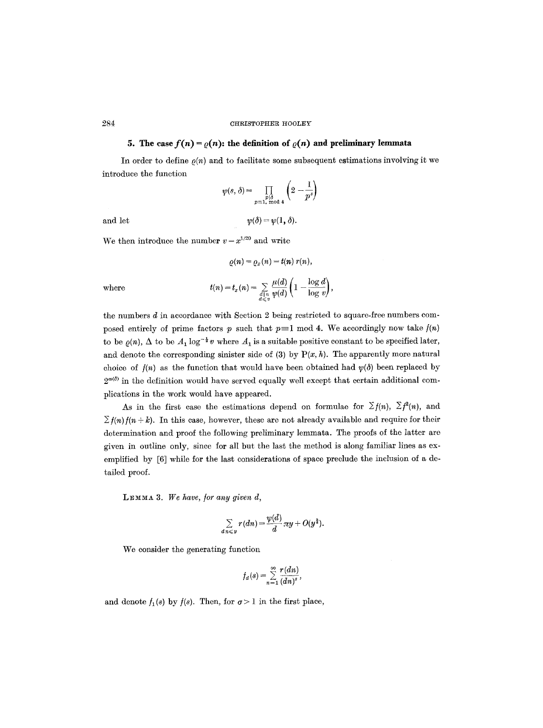# **5.** The case  $f(n) = \rho(n)$ : the definition of  $\rho(n)$  and preliminary lemmata

In order to define  $\rho(n)$  and to facilitate some subsequent estimations involving it we introduce the function

$$
\psi(s,\delta) = \prod_{\substack{p \mid \delta \\ p \equiv 1 \pmod{4}}} \left(2 - \frac{1}{p^s}\right)
$$

and let  $\psi(\delta) = \psi(1, \delta).$ 

We then introduce the number  $v = x^{1/20}$  and write

$$
\varrho(n)=\varrho_x(n)=t(n)\;r(n),
$$

 $\int_1$  log d)

where  $t(n) = t_x(n) = \sum_{\substack{d \mid n \\ d \leqslant v}} \frac{t}{\psi(d)} \left(1\right)$ 

the numbers d in accordance with Section 2 being restricted to square-free numbers com-  
posed entirely of prime factors p such that 
$$
p \equiv 1 \mod 4
$$
. We accordingly now take  $f(n)$   
to be  $\varrho(n)$ ,  $\Delta$  to be  $A_1 \log^{-\frac{1}{2}} v$  where  $A_1$  is a suitable positive constant to be specified later,  
and denote the corresponding sinister side of (3) by P(x, h). The apparently more natural  
choice of  $f(n)$  as the function that would have been obtained had  $\psi(\delta)$  been replaced by  
 $2^{\omega(\delta)}$  in the definition would have served equally well except that certain additional com-  
plications in the work would have appeared.

As in the first case the estimations depend on formulae for  $\Sigma f(n)$ ,  $\Sigma f^{2}(n)$ , and  $\sum f(n)f(n+k)$ . In this case, however, these are not already available and require for their determination and proof the following preliminary lemmata. The proofs of the latter are given in outline only, since for all but the last the method is along familiar lines as exemplified by [6] while for the last considerations of space preclude the inclusion of a detailed proof.

LEMMA 3. We have, for any given d,

$$
\sum_{d\, n\leqslant y}r(dn)=\frac{\psi(d)}{d}\,\pi y+O(y^{\frac{3}{4}}).
$$

We consider the generating function

$$
f_a(s) = \sum_{n=1}^{\infty} \frac{r(d_n)}{(dn)^s},
$$

and denote  $f_1(s)$  by  $f(s)$ . Then, for  $\sigma > 1$  in the first place,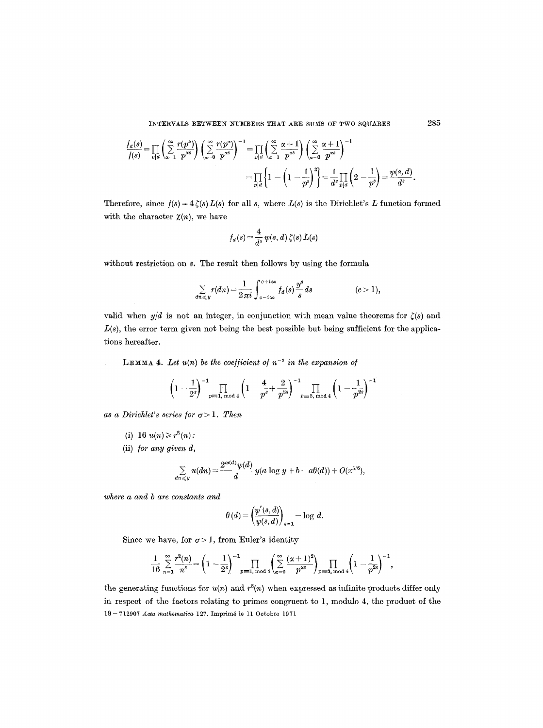$$
\frac{f_d(s)}{f(s)} = \prod_{p|d} \left( \sum_{\alpha=1}^{\infty} \frac{r(p^{\alpha})}{p^{\alpha s}} \right) \left( \sum_{\alpha=0}^{\infty} \frac{r(p^{\alpha})}{p^{\alpha s}} \right)^{-1} = \prod_{p|d} \left( \sum_{\alpha=1}^{\infty} \frac{\alpha+1}{p^{\alpha s}} \right) \left( \sum_{\alpha=0}^{\infty} \frac{\alpha+1}{p^{\alpha s}} \right)^{-1} = \prod_{p|d} \left\{ 1 - \left( 1 - \frac{1}{p^s} \right)^2 \right\} = \frac{1}{d^s} \prod_{p|d} \left( 2 - \frac{1}{p^s} \right) = \frac{\psi(s, d)}{d^s}.
$$

Therefore, since  $f(s) = 4 \zeta(s) L(s)$  for all s, where  $L(s)$  is the Dirichlet's L function formed with the character  $\chi(n)$ , we have

$$
f_a(s) = \frac{4}{d^s} \psi(s, d) \zeta(s) L(s)
$$

without restriction on s. The result then follows by using the formula

$$
\sum_{dn \leqslant y} r(dn) = \frac{1}{2\pi i} \int_{c-i\infty}^{c+i\infty} f_a(s) \frac{y^s}{s} ds \qquad (c>1),
$$

valid when  $y/d$  is not an integer, in conjunction with mean value theorems for  $\zeta(s)$  and  $L(s)$ , the error term given not being the best possible but being sufficient for the applications hereafter.

LEMMA 4. Let  $u(n)$  be the coefficient of  $n^{-s}$  in the expansion of

$$
\left(1-\frac{1}{2^s}\right)^{-1}\prod_{p\equiv 1,\bmod 4}\left(1-\frac{4}{p^s}+\frac{2}{p^{2s}}\right)^{-1}\prod_{p\equiv 3,\bmod 4}\left(1-\frac{1}{p^{2s}}\right)^{-1}
$$

as a Dirichlet's series for  $\sigma > 1$ . Then

(i) 16 
$$
u(n) \geq r^2(n)
$$
:

(ii) */or any given d,* 

$$
\sum_{dn\leqslant y} u(dn) = \frac{2^{\omega(d)}\psi(d)}{d} y(a\log y + b + a\theta(d)) + O(x^{5/6}),
$$

*where a and b are constants and* 

$$
\theta(d) = \left(\frac{\psi'(s,d)}{\psi(s,d)}\right)_{s=1} - \log d.
$$

Since we have, for  $\sigma > 1$ , from Euler's identity

$$
\frac{1}{16} \sum_{n=1}^{\infty} \frac{r^2(n)}{n^s} = \left(1 - \frac{1}{2^s}\right)^{-1} \prod_{p=1, \text{ mod } 4} \left(\sum_{\alpha=0}^{\infty} \frac{(\alpha+1)^2}{p^{\alpha s}}\right)_{p=3, \text{ mod } 4} \left(1 - \frac{1}{p^{2s}}\right)^{-1},
$$

the generating functions for  $u(n)$  and  $r^2(n)$  when expressed as infinite products differ only in respect of the factors relating to primes congruent to 1, modulo 4, the product of the 19- 712907 *Acta mathematica* 127. Imprim4 le 11 Octobre 1971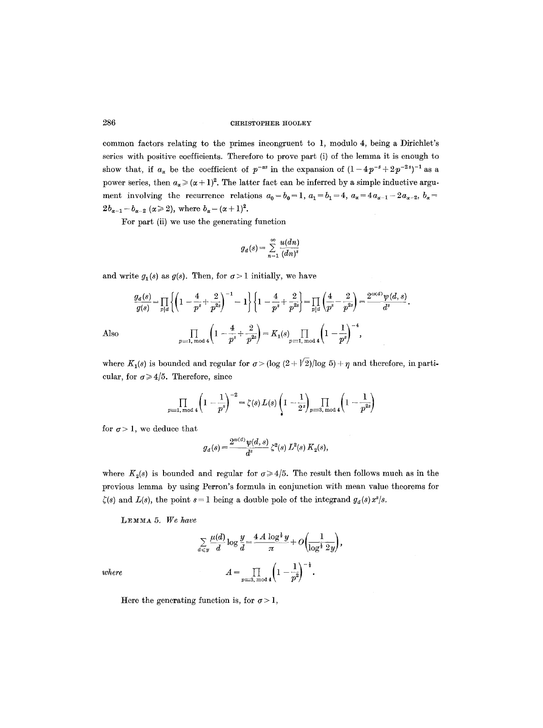common factors relating to the primes incongruent to 1, modulo 4, being a Dirichlet's series with positive coefficients. Therefore to prove part (i) of the lemma it is enough to show that, if  $a_{\alpha}$  be the coefficient of  $p^{-\alpha s}$  in the expansion of  $(1-4p^{-s}+2p^{-2s})^{-1}$  as a power series, then  $a_{\alpha} \geq (\alpha + 1)^2$ . The latter fact can be inferred by a simple inductive argument involving the recurrence relations  $a_0 = b_0 = 1$ ,  $a_1 = b_1 = 4$ ,  $a_x = 4a_{x-1} - 2a_{x-2}$ ,  $b_x =$  $2b_{\alpha-1}-b_{\alpha-2} \ (\alpha \geq 2)$ , where  $b_{\alpha}=(\alpha+1)^2$ .

For part (ii) we use the generating function

$$
g_d(s) = \sum_{n=1}^{\infty} \frac{u(dn)}{(dn)^s}
$$

and write  $g_1(s)$  as  $g(s)$ . Then, for  $\sigma > 1$  initially, we have

$$
\frac{g_d(s)}{g(s)} = \prod_{p|d} \left\{ \left( 1 - \frac{4}{p^s} + \frac{2}{p^{2s}} \right)^{-1} - 1 \right\} \left\{ 1 - \frac{4}{p^s} + \frac{2}{p^{2s}} \right\} = \prod_{p|d} \left( \frac{4}{p^s} - \frac{2}{p^{2s}} \right) = \frac{2^{\omega(d)} \psi(d, s)}{d^s}
$$
\n
$$
\prod_{p \equiv 1, \text{ mod } 4} \left( 1 - \frac{4}{p^s} + \frac{2}{p^{2s}} \right) = K_1(s) \prod_{p \equiv 1, \text{ mod } 4} \left( 1 - \frac{1}{p^s} \right)^{-4},
$$

Also

where  $K_1(s)$  is bounded and regular for  $\sigma > (\log (2 + \sqrt{2}))/\log 5) + \eta$  and therefore, in particular, for  $\sigma \geq 4/5$ . Therefore, since

$$
\prod_{p\equiv 1,\bmod 4}\left(1-\frac{1}{p^{s}}\right)^{-2}=\zeta(s)\,L(s)\left(1-\frac{1}{2^{s}}\right)\prod_{p\equiv 3,\bmod 4}\left(1-\frac{1}{p^{2s}}\right)
$$

for  $\sigma > 1$ , we deduce that

$$
g_d(s) = \frac{2^{\omega(d)} \psi(d,s)}{d^s} \zeta^2(s) L^2(s) K_2(s),
$$

where  $K_2(s)$  is bounded and regular for  $\sigma \geq 4/5$ . The result then follows much as in the previous lemma by using Perron's formula in conjunction with mean value theorems for  $\zeta(s)$  and  $L(s)$ , the point  $s = 1$  being a double pole of the integrand  $g_d(s) x^s/s$ .

LEMMA 5. We have

$$
\sum_{d \leqslant y} \frac{\mu(d)}{d} \log \frac{y}{d} = \frac{4A \log^{\frac{1}{2}} y}{\pi} + O\left(\frac{1}{\log^{\frac{1}{2}} 2y}\right),
$$

$$
A = \prod_{p \equiv 3, \bmod 4} \left(1 - \frac{1}{p^2}\right)^{-\frac{1}{2}}.
$$

*where* 

Here the generating function is, for  $\sigma > 1$ ,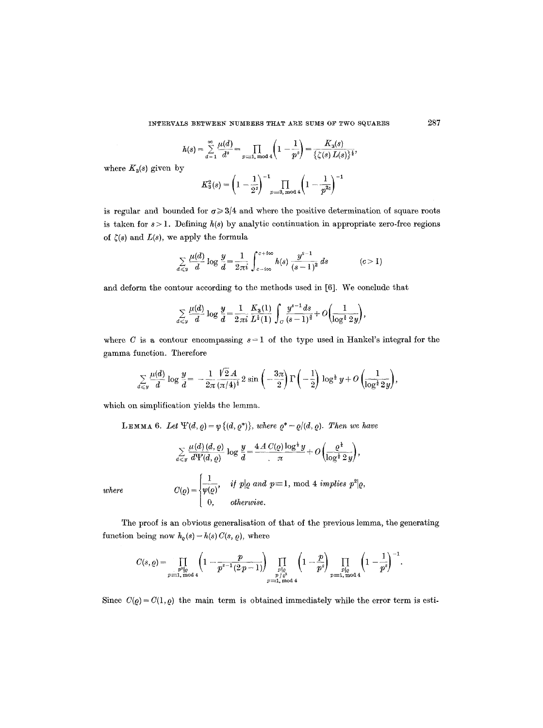$$
h(s) = \sum_{d=1}^{\infty} \frac{\mu(d)}{d^s} = \prod_{p \equiv 1, \bmod 4} \left(1 - \frac{1}{p^s}\right) = \frac{K_3(s)}{\{\zeta(s) L(s)\}^{\frac{1}{2}}},
$$

where  $K_3(s)$  given by

$$
K_3^2(s) = \left(1 - \frac{1}{2^s}\right)^{-1} \prod_{p \equiv 3, \bmod 4} \left(1 - \frac{1}{p^{2s}}\right)^{-1}
$$

is regular and bounded for  $\sigma \geq 3/4$  and where the positive determination of square roots is taken for  $s > 1$ . Defining  $h(s)$  by analytic continuation in appropriate zero-free regions of  $\zeta(s)$  and  $L(s)$ , we apply the formula

$$
\sum_{d\leq y}\frac{\mu(d)}{d}\log\frac{y}{d}=\frac{1}{2\pi i}\int_{c-i\infty}^{c+i\infty}h(s)\,\frac{y^{s-1}}{(s-1)^2}\,ds\qquad \qquad (c>1)
$$

and deform the contour according to the methods used in [6]. We conclude that

$$
\sum_{d \leq y} \frac{\mu(d)}{d} \log \frac{y}{d} = \frac{1}{2\pi i} \frac{K_3(1)}{L^{\frac{1}{2}}(1)} \int_C \frac{y^{s-1} ds}{(s-1)^{\frac{3}{2}}} + O\left(\frac{1}{\log^{\frac{1}{2}} 2y}\right),
$$

where C is a contour encompassing  $s = 1$  of the type used in Hankel's integral for the gamma function. Therefore

$$
\sum_{d \leqslant y} \frac{\mu(d)}{d} \log \frac{y}{d} = -\frac{1}{2\pi} \frac{\sqrt{2} A}{(\pi/4)^{\frac{1}{2}}} 2 \sin \left(-\frac{3\pi}{2}\right) \Gamma\left(-\frac{1}{2}\right) \log^{\frac{1}{2}} y + O\left(\frac{1}{\log^{\frac{1}{2}} 2y}\right),
$$

which on simplification yields the lemma.

**LEMMA** 6. Let  $\Psi(d, \rho) = \psi\{(d, \rho^*)\}$ , *where*  $\rho^* = \rho/(d, \rho)$ . Then we have

$$
\sum_{d \leq y} \frac{\mu(d) (d, \varrho)}{d \Psi(d, \varrho)} \log \frac{y}{d} = \frac{4 \varLambda C(\varrho) \log^{\frac{1}{2}} y}{\pi} + O\left(\frac{\varrho^{\frac{1}{4}}}{\log^{\frac{1}{2}} 2 y}\right),
$$
  

$$
C(\varrho) = \begin{cases} \frac{1}{\psi(\varrho)}, & \text{if } p | \varrho \text{ and } p = 1, \text{ mod } 4 \text{ implies } p^2 | \varrho, \\ 0, & \text{otherwise.} \end{cases}
$$

*where* 

The proof is an obvious generalisation of that of the previous lemma, the generating function being now  $h_{\varrho}(s) = h(s) C(s, \varrho)$ , where

$$
C(s,\varrho)=\prod_{\substack{p^s\mid \varrho\\ p\equiv 1,\text{ mod }4}}\left(1-\frac{p}{p^{s-1}(2\,p-1)}\right)\prod_{\substack{p\mid \varrho\\ p\,|\,\varrho^s\\ p\equiv 1,\text{ mod }4}}\left(1-\frac{p}{p^s}\right)\prod_{\substack{p\mid \varrho\\ p\equiv 1,\text{ mod }4}}\left(1-\frac{1}{p^s}\right)^{-1}.
$$

Since  $C(\varrho) = C(1, \varrho)$  the main term is obtained immediately while the error term is esti-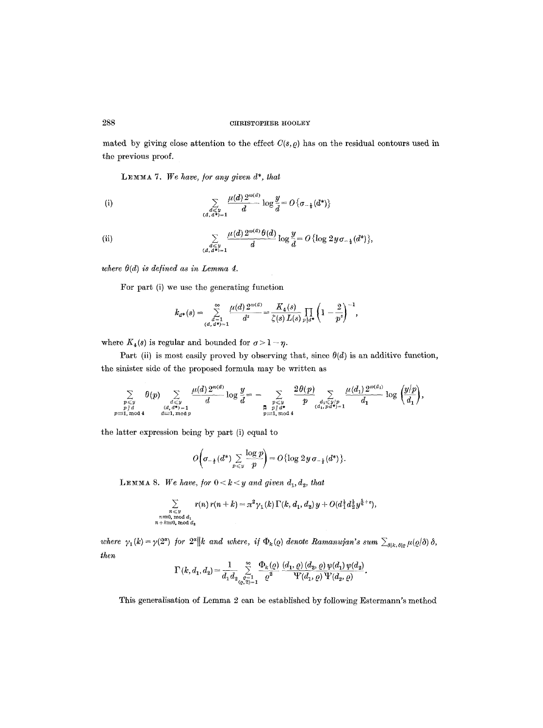## 288 **OTRIST OPHER HOOLEY**

mated by giving close attention to the effect  $C(s, \rho)$  has on the residual contours used in the previous proof.

LEMMA 7. We have, for any given  $d^*$ , that

(i) 
$$
\sum_{\substack{d \le y \\ (d, d^*) = 1}} \frac{\mu(d) \, 2^{\omega(d)}}{d} \log \frac{y}{d} = O\left\{\sigma_{-\frac{1}{2}}(d^*)\right\}
$$

(ii) 
$$
\sum_{\substack{d \leq y \\ (d, d^*) = 1}} \frac{\mu(d) \, 2^{\omega(d)} \, \theta(d)}{d} \log \frac{y}{d} = O\left\{\log 2y \, \sigma_{-\frac{1}{2}}(d^*)\right\},
$$

*where*  $\theta(d)$  *is defined as in Lemma 4.* 

For part (i) we use the generating function

$$
k_{a^*}(s) = \sum_{\substack{a=1\\(d,a^*)=1}}^{\infty} \frac{\mu(d) 2^{a(d)}}{d^s} = \frac{K_4(s)}{\zeta(s) L(s)} \prod_{p \mid a^*} \left(1 - \frac{2}{p^s}\right)^{-1},
$$

where  $K_4(s)$  is regular and bounded for  $\sigma > 1 - \eta$ .

Part (ii) is most easily proved by observing that, since  $\theta(d)$  is an additive function, the sinister side of the proposed formula may be written as

$$
\sum_{\substack{p \leqslant y \\ p \mid d \\ p \equiv 1, \bmod 4}} \theta(p) \sum_{\substack{d \leqslant y \\ d \equiv 1, \bmod p}} \frac{\mu(d) \, 2^{\omega(d)}}{d} \log \frac{y}{d} = - \sum_{\substack{p \leqslant y \\ p \mid d^* \\ p \equiv 1, \bmod 4}} \frac{2 \theta(p)}{p} \sum_{\substack{d_1 \leqslant y/p \\ (d_1, p d^*) = 1}} \frac{\mu(d_1) \, 2^{\omega(d_1)}}{d_1} \log \left(\frac{y/p}{d_1}\right),
$$

the latter expression being by part (i) equal to

$$
O\left(\sigma_{-\frac{1}{2}}(d^*)\sum_{p\leqslant y}\frac{\log p}{p}\right)=O\left{\log 2y\,\sigma_{-\frac{1}{2}}(d^*)}\right).
$$

**LEMMA** 8. We have, for  $0 < k < y$  and given  $d_1, d_2$ , that

$$
\sum_{\substack{n\leqslant y\\ n\equiv 0,\bmod{d_1}\\ n+k\equiv 0,\bmod{d_2}}}r(n)\,r(n+k)=\pi^2\gamma_1(k)\,\Gamma(k,d_1,d_2)\,y+O(d_1^{\frac12}d_2^{\frac12}y^{\frac56+\varepsilon}),
$$

*where*  $\gamma_1(k) = \gamma(2^{\alpha})$  for  $2^{\alpha} || k$  and where, if  $\Phi_k(q)$  denote Ramanujan's sum  $\sum_{\delta | k, \delta | \rho} \mu(q/\delta)$   $\delta$ , *then* 

$$
\Gamma(k,d_1,d_2) = \frac{1}{d_1 d_2} \sum_{\substack{\varrho=1 \\ \varrho, 2)=1}}^{\infty} \frac{\Phi_k(\varrho)}{\varrho^2} \frac{(d_1, \varrho) (d_2, \varrho) \psi(d_1) \psi(d_2)}{\Psi(d_1, \varrho) \Psi(d_2, \varrho)}.
$$

This generalisation of Lemma 2 can be established by following Estermann's method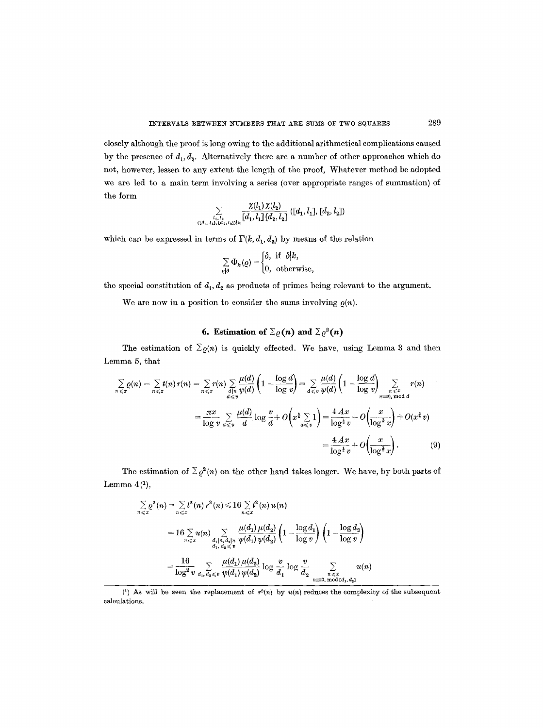closely although the proof is long owing to the additional arithmetical complications caused by the presence of  $d_1, d_2$ . Alternatively there are a number of other approaches which do not, however, lessen to any extent the length of the proof, Whatever method be adopted we are led to a main term involving a series (over appropriate ranges of summation) of the form

$$
\sum\limits_{\{l_1,l_2,\ldots,l_s\}\atop{(\{\bar{d}_1,\bar{l}_1\},\{\bar{d}_2,\bar{l}_2\})\}\times\}}\frac{\chi(l_1)\,\chi(l_2)}{[d_1,l_1]\,[d_2,l_2]}\,([d_1,l_1],[d_2,l_2])
$$

which can be expressed in terms of  $\Gamma(k, d_1, d_2)$  by means of the relation

$$
\sum_{\varrho\mid\delta}\Phi_k(\varrho)=\begin{cases}\delta, \ \text{if} \ \ \delta \big| k, \\ 0, \ \ \text{otherwise}, \end{cases}
$$

the special constitution of  $d_1, d_2$  as products of primes being relevant to the argument.

We are now in a position to consider the sums involving  $\rho(n)$ .

# **6. Estimation of**  $\Sigma_{\varrho}(n)$  and  $\Sigma_{\varrho}^2(n)$

The estimation of  $\Sigma_{\varrho}(n)$  is quickly effected. We have, using Lemma 3 and then Lemma 5, that

$$
\sum_{n \leq x} \rho(n) = \sum_{n \leq x} t(n) r(n) = \sum_{n \leq x} r(n) \sum_{\substack{d \mid n \\ d \leq v}} \frac{\mu(d)}{\psi(d)} \left( 1 - \frac{\log d}{\log v} \right) = \sum_{d \leq v} \frac{\mu(d)}{\psi(d)} \left( 1 - \frac{\log d}{\log v} \right) \sum_{\substack{n \leq x \\ n \equiv 0 \text{ mod } d}} r(n)
$$
\n
$$
= \frac{\pi x}{\log v} \sum_{d \leq v} \frac{\mu(d)}{d} \log \frac{v}{d} + O\left(x^{\frac{1}{4}} \sum_{d \leq v} 1\right) = \frac{4 A x}{\log^{\frac{1}{2}} v} + O\left(\frac{x}{\log^{\frac{3}{2}} x}\right) + O(x^{\frac{1}{2}} v)
$$
\n
$$
= \frac{4 A x}{\log^{\frac{1}{2}} v} + O\left(\frac{x}{\log^{\frac{3}{2}} x}\right). \tag{9}
$$

The estimation of  $\sum \varrho^2(n)$  on the other hand takes longer. We have, by both parts of Lemma  $4<sup>(1)</sup>$ ,

$$
\sum_{n \leqslant x} \rho^{2}(n) = \sum_{n \leqslant x} t^{2}(n) r^{2}(n) \leqslant 16 \sum_{n \leqslant x} t^{2}(n) u(n)
$$
\n
$$
= 16 \sum_{n \leqslant x} u(n) \sum_{\substack{d_{1}, d_{2} \mid n \\ d_{1}, d_{2} \leqslant v}} \frac{\mu(d_{1}) \mu(d_{2})}{\psi(d_{1}) \psi(d_{2})} \left(1 - \frac{\log d_{1}}{\log v}\right) \left(1 - \frac{\log d_{2}}{\log v}\right)
$$
\n
$$
= \frac{16}{\log^{2} v} \sum_{d_{1}, d_{2} \leqslant v} \frac{\mu(d_{1}) \mu(d_{2})}{\psi(d_{1}) \psi(d_{2})} \log \frac{v}{d_{1}} \log \frac{v}{d_{2}} \sum_{\substack{n \leqslant x \\ n \equiv 0, \, \text{mod } [d_{1}, d_{2}]}} u(n)
$$

<sup>(1)</sup> As will be seen the replacement of  $r^2(n)$  by  $u(n)$  reduces the complexity of the subsequent calculations.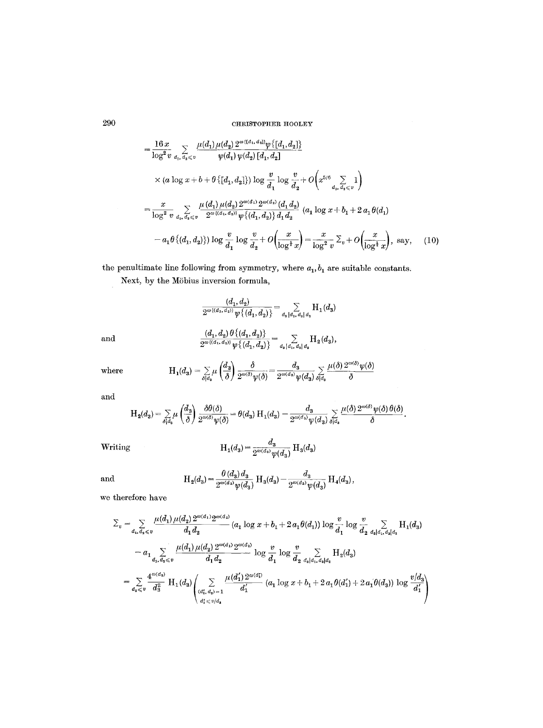$$
= \frac{16 x}{\log^2 v} \sum_{d_1, d_2 \leq v} \frac{\mu(d_1) \mu(d_2) 2^{\omega \{d_1, d_2\}} \psi \{[d_1, d_2]\}}{\psi(d_1) \psi(d_2) [d_1, d_2]} \\
\times (a \log x + b + \theta \{[d_1, d_2]\}) \log \frac{v}{d_1} \log \frac{v}{d_2} + O\left(x^{5/6} \sum_{d_1, d_2 \leq v} 1\right) \\
= \frac{x}{\log^2 v} \sum_{d_1, d_2 \leq v} \frac{\mu(d_1) \mu(d_2) 2^{\omega(d_1)} 2^{\omega(d_2)} (d_1 d_2)}{2^{\omega \{d_1, d_2\}} \psi \{[d_1, d_2\}) \{d_1 d_2}} (a_1 \log x + b_1 + 2 a_1 \theta(d_1) - a_1 \theta \{d_1, d_2\}) \log \frac{v}{d_1} \log \frac{v}{d_2} + O\left(\frac{x}{\log^4 x}\right) = \frac{x}{\log^2 v} \sum_v + O\left(\frac{x}{\log^4 x}\right), \text{ say,} \quad (10)
$$

the penultimate line following from symmetry, where  $a_1, b_1$  are suitable constants.

Next, by the Möbius inversion formula,

$$
\frac{(d_1, d_2)}{2^{\omega((d_1, d_2))}\psi\{(d_1, d_2)\}} = \sum_{d_3 \mid d_1, d_3 \mid d_4} H_1(d_3)
$$
\nand\n
$$
\frac{(d_1, d_2) \theta\{(d_1, d_2)\}}{2^{\omega((d_1, d_2))}\psi\{(d_1, d_2)\}} = \sum_{d_1 \mid d_2, d_3 \mid d_4} H_2(d_3),
$$

where 
$$
H_1(d_3) = \sum_{\delta \mid d_3} \mu\left(\frac{d_3}{\delta}\right) \frac{\delta}{2^{\omega(\delta)}\psi(\delta)} = \frac{d_3}{2^{\omega(d_3)}\psi(d_3)} \sum_{\delta \mid d_3} \frac{\mu(\delta) 2^{\omega(\delta)}\psi(\delta)}{\delta}
$$

and

$$
H_2(d_3)=\textstyle\sum\limits_{\delta\not\mid d_3}\mu\left(\frac{d_3}{\delta}\right)\frac{\delta\theta(\delta)}{2^{\omega(\delta)}\psi(\delta)}=\theta(d_3)\text{ H}_1(d_3)-\frac{d_3}{2^{\omega(d_3)}\psi(d_3)}\sum\limits_{\delta\nmid d_3}\frac{\mu(\delta)\,2^{\omega(\delta)}\psi(\delta)\,\theta(\delta)}{\delta}.
$$

Writing 
$$
H_1(d_3) = \frac{d_3}{2^{\omega(d_3)}\psi(d_3)} H_3(d_3)
$$

and 
$$
H_2(d_3) = \frac{\theta(d_3) d_3}{2^{\omega(d_3)} \psi(d_3)} H_3(d_3) - \frac{d_3}{2^{\omega(d_3)} \psi(d_3)} H_4(d_3),
$$

we therefore have

$$
\Sigma_v = \sum_{d_1, d_2 \leq v} \frac{\mu(d_1) \mu(d_2) 2^{\omega(d_1)} 2^{\omega(d_2)}}{d_1 d_2} (a_1 \log x + b_1 + 2 a_1 \theta(d_1)) \log \frac{v}{d_1} \log \frac{v}{d_2} \sum_{d_1 | d_1, d_2 | d_2} H_1(d_3)
$$
  

$$
- a_1 \sum_{d_1, d_2 \leq v} \frac{\mu(d_1) \mu(d_2) 2^{\omega(d_1)} 2^{\omega(d_2)}}{d_1 d_2} \log \frac{v}{d_1} \log \frac{v}{d_2} \sum_{d_3 | d_1, d_3 | d_2} H_2(d_3)
$$
  

$$
= \sum_{d_2 \leq v} \frac{4^{\omega(d_3)}}{d_3^2} H_1(d_3) \left( \sum_{\substack{(d_1, d_2) = 1 \\ d_1 \leq v/d_2}} \frac{\mu(d_1') 2^{\omega(d_1)}}{d_1'} (a_1 \log x + b_1 + 2 a_1 \theta(d_1') + 2 a_1 \theta(d_3)) \log \frac{v/d_3}{d_1'} \right)
$$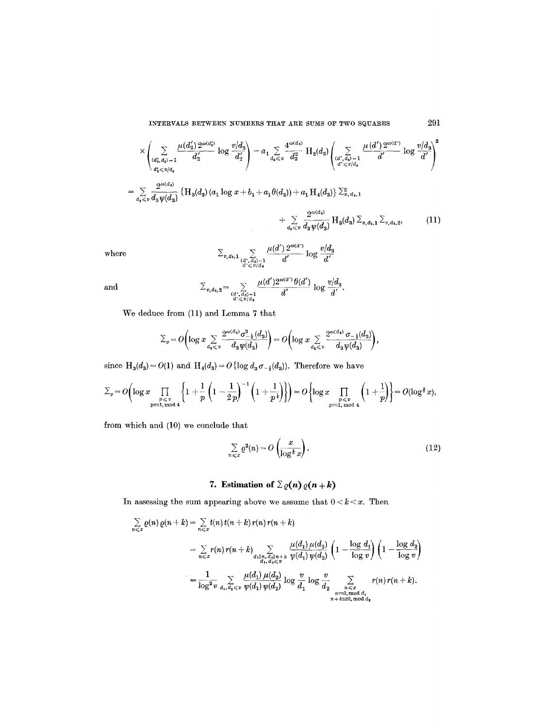$$
\times \left( \sum_{\substack{(d'_2, d_3) = 1 \\ d'_3 \leqslant v/d_3}} \frac{\mu(d'_2) 2^{\omega(d'_2)}}{d'_2} \log \frac{v/d_3}{d'_2} \right) - a_1 \sum_{d_3 \leqslant v} \frac{4^{\omega(d_3)}}{d'_3} \operatorname{H}_2(d_3) \left( \sum_{\substack{(d', d_3) = 1 \\ d' \leqslant v/d_3}} \frac{\mu(d') 2^{\omega(d')}}{d'} \log \frac{v/d_3}{d'} \right)^2
$$
  
\n
$$
= \sum_{d_3 \leqslant v} \frac{2^{\omega(d_3)}}{d_3 \psi(d_3)} \left\{ \operatorname{H}_3(d_3) (a_1 \log x + b_1 + a_1 \theta(d_3)) + a_1 \operatorname{H}_4(d_3) \right\} \sum_{v, d_3, 1}^2
$$
  
\n
$$
+ \sum_{d_3 \leqslant v} \frac{2^{\omega(d_3)}}{d_3 \psi(d_3)} \operatorname{H}_3(d_3) \sum_{v, d_3, 1} \sum_{v, d_3, 2}, \qquad (11)
$$

where 
$$
\sum_{\substack{v, d_3, 1 \\ d' \leq v/d_3}} \sum_{\substack{(d', d_3) = 1 \\ d' \leq v/d_3}} \frac{\mu(d') 2^{\omega(d')}}{d'} \log \frac{v/d_3}{d'}
$$

and

 $\mu(d')2^{\omega(a')}$   $\theta(d')$   $\mathbf{1}_{\mathbf{a},\mathbf{a}} v/d_{3}$  $\mathcal{L}_{v, d_3, 2}$   $\mathcal{L}_{\substack{\lambda \lambda \lambda \lambda = 1 \\ d' \leq v/d_3}}$   $d'$   $\mathcal{L}_{\substack{\lambda \lambda \lambda \lambda \lambda \lambda = 1 \\ d' \leq v/d_3}}$ 

We deduce from (11) and Lemma 7 that

$$
\Sigma_v = O\left(\log x \sum_{d_s \leq v} \frac{2^{\omega(d_s)} \sigma_{-\frac{1}{2}}^3(d_s)}{d_s \psi(d_s)}\right) = O\left(\log x \sum_{d_s \leq v} \frac{2^{\omega(d_s)} \sigma_{-\frac{1}{2}}(d_s)}{d_s \psi(d_s)}\right),
$$

since  $H_3(d_3) = O(1)$  and  $H_4(d_3) = O\{\log d_3 \sigma_{-\frac{1}{2}}(d_3) \}$ . Therefore we have

$$
\Sigma_v = O\left(\log x \prod_{\substack{p \leqslant v \\ p \equiv 1, \bmod 4}} \left\{1 + \frac{1}{p} \left(1 - \frac{1}{2p}\right)^{-1} \left(1 + \frac{1}{p^{\frac{1}{4}}}\right)\right\}\right) = O\left\{\log x \prod_{\substack{p \leqslant v \\ p \equiv 1, \bmod 4}} \left(1 + \frac{1}{p}\right)\right\} = O(\log^{\frac{3}{4}} x),
$$

from which and (10) we conclude that

$$
\sum_{n \leq x} \varrho^2(n) = O\left(\frac{x}{\log^{\frac{1}{2}} x}\right). \tag{12}
$$

# 7. Estimation of  $\sum \varrho(n) \varrho(n+k)$

In assessing the sum appearing above we assume that  $0 < k < x$ . Then

$$
\sum_{n \leq x} \varrho(n) \varrho(n+k) = \sum_{n \leq x} t(n) t(n+k) r(n) r(n+k)
$$
\n
$$
= \sum_{n \leq x} r(n) r(n+k) \sum_{\substack{d_1 | n, d_2 | n+k \\ d_1, d_2 \leq v}} \frac{\mu(d_1) \mu(d_2)}{\psi(d_1) \psi(d_2)} \left(1 - \frac{\log d_1}{\log v}\right) \left(1 - \frac{\log d_2}{\log v}\right)
$$
\n
$$
= \frac{1}{\log^2 v} \sum_{d_1, d_2 \leq v} \frac{\mu(d_1) \mu(d_2)}{\psi(d_1) \psi(d_2)} \log \frac{v}{d_1} \log \frac{v}{d_2} \sum_{\substack{n \leq x \\ n \equiv 0, \text{mod } d_1 \\ n+k \equiv 0, \text{mod } d_2}} r(n) r(n+k).
$$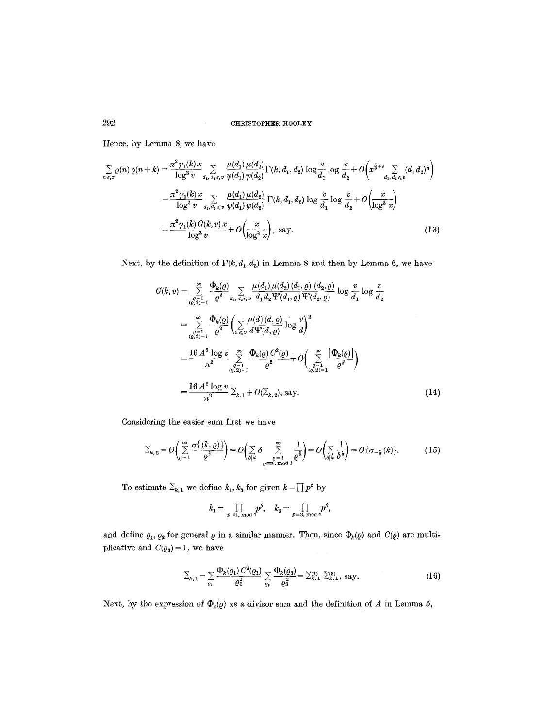Hence, by Lemma 8, we have

$$
\sum_{n \leq x} \varrho(n) \varrho(n+k) = \frac{\pi^2 \gamma_1(k)x}{\log^2 v} \sum_{d_1, d_2 \leq v} \frac{\mu(d_1) \mu(d_2)}{\psi(d_1) \psi(d_2)} \Gamma(k, d_1, d_2) \log \frac{v}{d_1} \log \frac{v}{d_2} + O\left(x^{\frac{5}{6}+\varepsilon} \sum_{d_1, d_2 \leq v} (d_1 d_2)^{\frac{1}{2}}\right)
$$
  
\n
$$
= \frac{\pi^2 \gamma_1(k)x}{\log^2 v} \sum_{d_1, d_2 \leq v} \frac{\mu(d_1) \mu(d_2)}{\psi(d_1) \psi(d_2)} \Gamma(k, d_1, d_2) \log \frac{v}{d_1} \log \frac{v}{d_2} + O\left(\frac{x}{\log^2 x}\right)
$$
  
\n
$$
= \frac{\pi^2 \gamma_1(k) G(k, v) x}{\log^2 v} + O\left(\frac{x}{\log^2 x}\right), \text{ say.}
$$
 (13)

Next, by the definition of  $\Gamma(k, d_1, d_2)$  in Lemma 8 and then by Lemma 6, we have

$$
G(k, v) = \sum_{\substack{Q=1 \ cQ \geq 1-1}}^{\infty} \frac{\Phi_k(Q)}{Q^2} \sum_{d_1, d_2 \leq v} \frac{\mu(d_1) \mu(d_2) (d_1, \varrho) (d_2, \varrho)}{d_1 d_2 \Psi(d_1, \varrho) \Psi(d_2, \varrho)} \log \frac{v}{d_1} \log \frac{v}{d_2}
$$
  
\n
$$
= \sum_{\substack{Q=1 \ cQ \geq 1-1}}^{\infty} \frac{\Phi_k(Q)}{Q^2} \left( \sum_{d \leq v} \frac{\mu(d) (d, \varrho)}{d \Psi(d, \varrho)} \log \frac{v}{d} \right)^2
$$
  
\n
$$
= \frac{16 A^2 \log v}{\pi^2} \sum_{\substack{Q=1 \ cQ \geq 1-1}}^{\infty} \frac{\Phi_k(Q) C^2(Q)}{Q^2} + O\left( \sum_{\substack{Q=1 \ cQ \geq 1-1}}^{\infty} \frac{|\Phi_k(Q)|}{Q^2} \right)
$$
  
\n
$$
= \frac{16 A^2 \log v}{\pi^2} \sum_{k, 1} + O(\sum_{k, 2}), \text{ say.}
$$
 (14)

Considering the easier sum first we have

$$
\Sigma_{k,2} = O\left(\sum_{\varrho=1}^{\infty} \frac{\sigma\{(k,\varrho)\}}{\varrho^{\frac{3}{2}}}\right) = O\left(\sum_{\varrho|k} \delta \sum_{\varrho=0,\bmod{\varrho}}^{\infty} \frac{1}{\varrho^{\frac{3}{2}}}\right) = O\left(\sum_{\varrho|k} \frac{1}{\delta^{\frac{1}{2}}}\right) = O\left\{\sigma_{-\frac{1}{2}}(k)\right\}.
$$
 (15)

To estimate  $\Sigma_{k,1}$  we define  $k_1, k_3$  for given  $k = \prod p^{\beta}$  by

$$
k_1 = \prod_{p\equiv 1,\bmod 4} p^\beta, \quad k_3 = \prod_{p\equiv 3,\bmod 4} p^\beta,
$$

and define  $\varrho_1, \varrho_2$  for general  $\varrho$  in a similar manner. Then, since  $\Phi_k(\varrho)$  and  $C(\varrho)$  are multiplicative and  $C(\varrho_3) = 1$ , we have

$$
\Sigma_{k,1} = \sum_{\varrho_1} \frac{\Phi_k(\varrho_1) C^2(\varrho_1)}{\varrho_1^2} \sum_{\varrho_4} \frac{\Phi_k(\varrho_3)}{\varrho_3^2} = \Sigma_{k,1}^{(1)} \Sigma_{k,1}^{(3)}, \text{ say.}
$$
 (16)

Next, by the expression of  $\Phi_k(q)$  as a divisor sum and the definition of A in Lemma 5,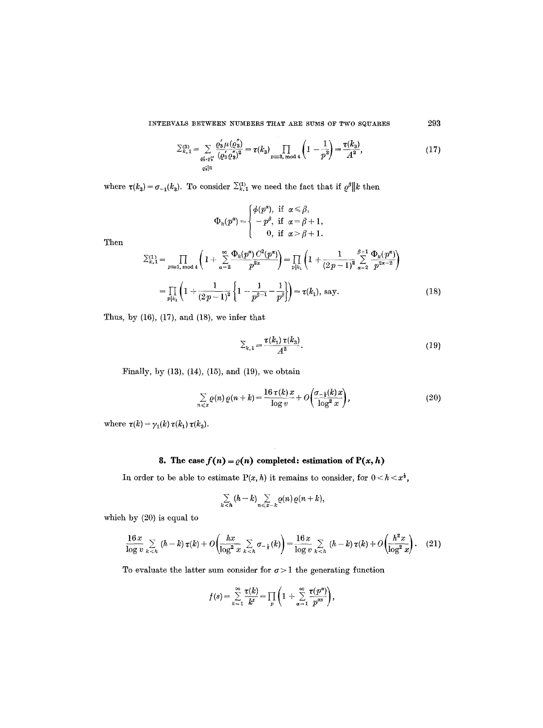$$
\sum_{k,1}^{(3)} = \sum_{\substack{c_3, c_3'\\c_4' | k}} \frac{\varrho_3' \mu(\varrho_3'')}{(\varrho_3' \varrho_3'')^2} = \tau(k_3) \prod_{p \equiv 3, \bmod 4} \left(1 - \frac{1}{p^2}\right) = \frac{\tau(k_3)}{A^2},\tag{17}
$$

where  $\tau(k_3) = \sigma_{-1}(k_3)$ . To consider  $\sum_{k=1}^{(1)}$  we need the fact that if  $\varrho^{\beta}||k$  then

$$
\Phi_k(p^{\alpha}) = \begin{cases} \phi(p^{\alpha}), \text{ if } \alpha \leq \beta, \\ -p^{\beta}, \text{ if } \alpha = \beta + 1, \\ 0, \text{ if } \alpha > \beta + 1. \end{cases}
$$

Then

$$
\Sigma_{k,1}^{(1)} = \prod_{p \equiv 1, \bmod 4} \left( 1 + \sum_{\alpha=2}^{\infty} \frac{\Phi_k(p^{\alpha}) C^2(p^{\alpha})}{p^{2\alpha}} \right) = \prod_{p|k_1} \left( 1 + \frac{1}{(2p-1)^2} \sum_{\alpha=2}^{\beta+1} \frac{\Phi_k(p^{\alpha})}{p^{2\alpha-2}} \right)
$$

$$
= \prod_{p|k_1} \left( 1 + \frac{1}{(2p-1)^2} \left\{ 1 - \frac{1}{p^{\beta-1}} - \frac{1}{p^{\beta}} \right\} \right) = \tau(k_1), \text{ say.}
$$
(18)

Thus, by  $(16)$ ,  $(17)$ , and  $(18)$ , we infer that

$$
\Sigma_{k,1} = \frac{\tau(k_1) \, \tau(k_3)}{A^2}.
$$
 (19)

Finally, by (13), (14), (15), and (19), we obtain

$$
\sum_{n \leq x} \varrho(n) \varrho(n+k) = \frac{16 \tau(k) x}{\log v} + O\left(\frac{\sigma_{-\frac{1}{2}}(k) x}{\log^2 x}\right),\tag{20}
$$

where  $\tau(k) = \gamma_1(k) \tau(k_1) \tau(k_3)$ .

# **8.** The case  $f(n) = \varrho(n)$  completed: estimation of  $P(x, h)$

In order to be able to estimate  $P(x, h)$  it remains to consider, for  $0 < h < x^{\frac{1}{2}}$ ,

$$
\sum_{k
$$

which by (20) is equal to

$$
\frac{16 x}{\log v} \sum_{k < h} (h - k) \tau(k) + O\left(\frac{hx}{\log^2 x} \sum_{k < h} \sigma_{-\frac{1}{2}}(k)\right) = \frac{16 x}{\log v} \sum_{k < h} (h - k) \tau(k) + O\left(\frac{h^2 x}{\log^2 x}\right). \tag{21}
$$

To evaluate the latter sum consider for  $\sigma > 1$  the generating function

$$
f(s) = \sum_{k=1}^{\infty} \frac{\tau(k)}{k^s} = \prod_p \left(1 + \sum_{\alpha=1}^{\infty} \frac{\tau(p^{\alpha})}{p^{\alpha s}}\right),
$$

293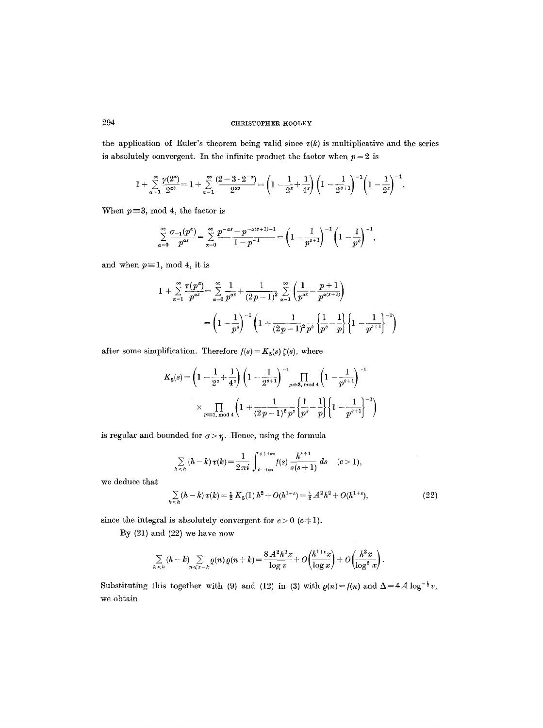the application of Euler's theorem being valid since  $\tau(k)$  is multiplicative and the series is absolutely convergent. In the infinite product the factor when  $p = 2$  is

$$
1+\sum_{\alpha=1}^{\infty}\frac{\gamma(2^{\alpha})}{2^{\alpha s}}=1+\sum_{\alpha=1}^{\infty}\frac{(2-3\cdot2^{-\alpha})}{2^{\alpha s}}=\left(1-\frac{1}{2^{s}}+\frac{1}{4^{s}}\right)\left(1-\frac{1}{2^{s+1}}\right)^{-1}\left(1-\frac{1}{2^{s}}\right)^{-1}.
$$

When  $p=3$ , mod 4, the factor is

$$
\sum_{\alpha=0}^{\infty} \frac{\sigma_{-1}(p^{\alpha})}{p^{\alpha s}} = \sum_{\alpha=0}^{\infty} \frac{p^{-\alpha s} - p^{-\alpha (s+1)-1}}{1-p^{-1}} = \left(1 - \frac{1}{p^{s+1}}\right)^{-1} \left(1 - \frac{1}{p^{s}}\right)^{-1},
$$

and when  $p \equiv 1$ , mod 4, it is

$$
1 + \sum_{\alpha=1}^{\infty} \frac{\tau(p^{\alpha})}{p^{\alpha s}} = \sum_{\alpha=0}^{\infty} \frac{1}{p^{\alpha s}} + \frac{1}{(2p-1)^2} \sum_{\alpha=1}^{\infty} \left( \frac{1}{p^{\alpha s}} - \frac{p+1}{p^{\alpha(s+1)}} \right)
$$
  
=  $\left( 1 - \frac{1}{p^s} \right)^{-1} \left( 1 + \frac{1}{(2p-1)^2 p^s} \left\{ \frac{1}{p^s} - \frac{1}{p^s} \right\} \left\{ 1 - \frac{1}{p^{s+1}} \right\}^{-1} \right)$ 

after some simplification. Therefore  $f(s) = K_5(s) \zeta(s)$  , where

$$
K_5(s) = \left(1 - \frac{1}{2^s} + \frac{1}{4^s}\right) \left(1 - \frac{1}{2^{s+1}}\right)^{-1} \prod_{p \equiv 3, \bmod 4} \left(1 - \frac{1}{p^{s+1}}\right)^{-1}
$$
  
\$\times \prod\_{p \equiv 1, \bmod 4} \left(1 + \frac{1}{(2p-1)^2 p^s} \left{\frac{1}{p^s} - \frac{1}{p}\right} \left\{1 - \frac{1}{p^{s+1}}\right\}^{-1}\right)\$

is regular and bounded for  $\sigma > \eta$ . Hence, using the formula

$$
\sum_{k < h} (h - k) \tau(k) = \frac{1}{2\pi i} \int_{c - i\infty}^{c + i\infty} f(s) \frac{h^{s+1}}{s(s+1)} ds \quad (c > 1),
$$
\n
$$
\sum_{k} (h - k) \tau(k) = \frac{1}{2} K_5(1) h^2 + O(h^{1+\epsilon}) = \frac{1}{2} A^2 h^2 + O(h^{1+\epsilon}), \tag{22}
$$

we deduce that

$$
\sum_{k < h} (h - h) \, v(h) = 2 \, \text{if} \, (1) \, h + \bigcirc (h - f) = 2 \, \text{if} \, h + \bigcirc (h - f),
$$

since the integral is absolutely convergent for  $c > 0$  ( $c+1$ ).

By (21) and (22) we have now

$$
\sum_{k
$$

Substituting this together with (9) and (12) in (3) with  $\rho(n) = f(n)$  and  $\Delta = 4A \log^{-\frac{1}{2}} v$ , we obtain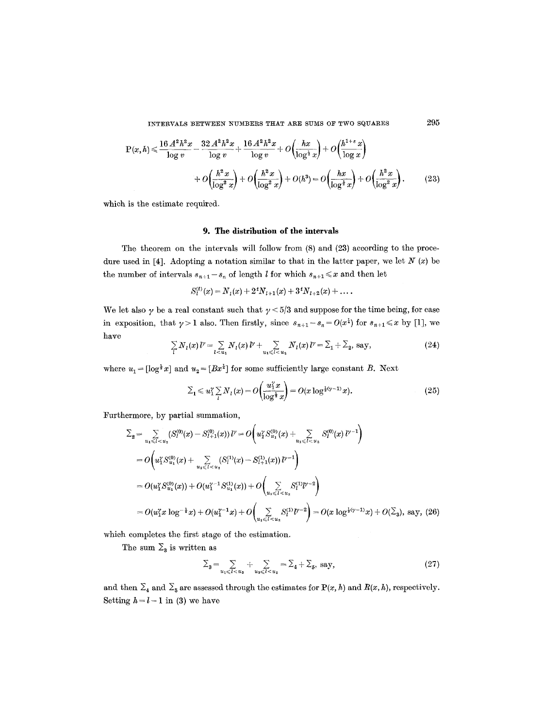$$
P(x,h) \le \frac{16 A^2 h^2 x}{\log v} - \frac{32 A^2 h^2 x}{\log v} + \frac{16 A^2 h^2 x}{\log v} + O\left(\frac{hx}{\log^{\frac{1}{2}} x}\right) + O\left(\frac{h^{1+\epsilon} x}{\log x}\right) + O\left(\frac{h^2 x}{\log^2 x}\right) + O\left(\frac{h^2 x}{\log^2 x}\right) + O\left(\frac{hx}{\log^{\frac{1}{2}} x}\right) + O\left(\frac{hx}{\log^{\frac{1}{2}} x}\right) + O\left(\frac{h^2 x}{\log^2 x}\right). \tag{23}
$$

which is the estimate required.

### **9. The distribution of the intervals**

The theorem on the intervals will follow from (8) and (23) according to the procedure used in [4]. Adopting a notation similar to that in the latter paper, we let  $N(x)$  be the number of intervals  $s_{n+1}-s_n$  of length l for which  $s_{n+1} \leq x$  and then let

$$
S_i^{(t)}(x) = N_1(x) + 2^t N_{t+1}(x) + 3^t N_{t+2}(x) + \ldots
$$

We let also  $\gamma$  be a real constant such that  $\gamma < 5/3$  and suppose for the time being, for ease in exposition, that  $\gamma > 1$  also. Then firstly, since  $s_{n+1} - s_n = O(x^{\frac{1}{2}})$  for  $s_{n+1} \leq x$  by [1], we have

$$
\sum_{l} N_{l}(x) l^{\nu} = \sum_{l < u_{1}} N_{l}(x) l^{\nu} + \sum_{u_{1} \leq l < u_{2}} N_{l}(x) l^{\nu} = \sum_{1} + \sum_{2}, \text{ say,}
$$
\n(24)

where  $u_1 = [\log^{\frac{1}{2}} x]$  and  $u_2 = [Bx^{\frac{1}{2}}]$  for some sufficiently large constant B. Next

$$
\Sigma_1 \leq u_1^{\gamma} \sum_i N_i(x) = O\left(\frac{u_1^{\gamma} x}{\log^{\frac{1}{2}} x}\right) = O(x \log^{\frac{1}{2}(\gamma - 1)} x). \tag{25}
$$

Furthermore, by partial summation,

$$
\Sigma_{2} = \sum_{u_{1} \leq l < u_{2}} (S_{l}^{(0)}(x) - S_{l+1}^{(0)}(x)) l^{\gamma} = O\left(u_{1}^{\gamma} S_{u_{1}}^{(0)}(x) + \sum_{u_{1} \leq l < u_{2}} S_{l}^{(0)}(x) l^{\gamma-1}\right)
$$
\n
$$
= O\left(u_{1}^{\gamma} S_{u_{1}}^{(0)}(x) + \sum_{u_{1} \leq l < u_{2}} (S_{l}^{(1)}(x) - S_{l+1}^{(1)}(x)) l^{\gamma-1}\right)
$$
\n
$$
= O(u_{1}^{\gamma} S_{u_{1}}^{(0)}(x)) + O(u_{1}^{\gamma-1} S_{u_{1}}^{(1)}(x)) + O\left(\sum_{u_{1} \leq l < u_{2}} S_{l}^{(1)} l^{\gamma-2}\right)
$$
\n
$$
= O(u_{1}^{\gamma} x \log^{-\frac{1}{2}} x) + O(u_{1}^{\gamma-1} x) + O\left(\sum_{u_{1} \leq l < u_{2}} S_{l}^{(1)} l^{\gamma-2}\right) = O(x \log^{\frac{1}{2}(\gamma-1)} x) + O(\Sigma_{3}), \text{ say, (26)}
$$

which completes the first stage of the estimation.

The sum  $\Sigma_3$  is written as

$$
\Sigma_3 = \sum_{u_1 \leqslant l < u_3} + \sum_{u_3 \leqslant l < u_2} = \Sigma_4 + \Sigma_5, \text{ say,} \tag{27}
$$

and then  $\Sigma_4$  and  $\Sigma_5$  are assessed through the estimates for P(x, h) and R(x, h), respectively. Setting  $h = l - 1$  in (3) we have

295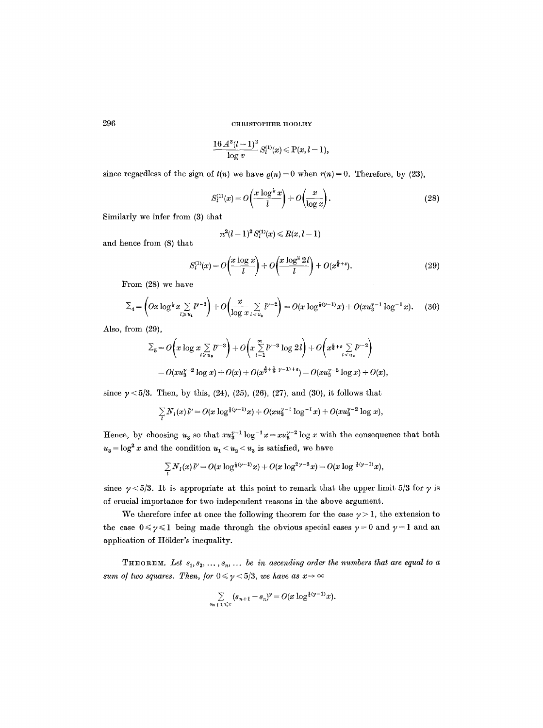$$
\frac{16\,A^2 (l-1)^2}{\log v} S^{(1)}_l(x)\!\leqslant\! \mathrm{P}(x,l-1),
$$

since regardless of the sign of  $t(n)$  we have  $\rho(n)=0$  when  $r(n)=0$ . Therefore, by (23),

$$
S_l^{(1)}(x) = O\left(\frac{x \log^{\frac{1}{2}} x}{l}\right) + O\left(\frac{x}{\log x}\right). \tag{28}
$$

Similarly we infer from (3) that

$$
\pi^2(l-1)^2\,S^{(1)}_l(x)\leqslant R(x,l-1)
$$

and hence from (8) that

$$
S_l^{(1)}(x) = O\left(\frac{x \log x}{l}\right) + O\left(\frac{x \log^2 2l}{l}\right) + O(x^{\frac{5}{6}+\epsilon}).\tag{29}
$$

From (28) we have

$$
\Sigma_4 = \left( Ox \log^{\frac{1}{2}} x \sum_{l \geq u_1} l^{v-3} \right) + O\left( \frac{x}{\log x} \sum_{l < u_3} l^{v-2} \right) = O(x \log^{\frac{1}{2}(v-1)} x) + O(xu_3^{v-1} \log^{-1} x). \tag{30}
$$

Also, from (29),

$$
\Sigma_5 = O\left(x \log x \sum_{l \ge u_3} l^{\gamma - 3}\right) + O\left(x \sum_{l=1}^{\infty} l^{\gamma - 3} \log 2l\right) + O\left(x^{\frac{5}{6} + \epsilon} \sum_{l < u_3} l^{\gamma - 2}\right) \\
= O(xu_3^{\gamma - 2} \log x) + O(x) + O(x^{\frac{5}{6} + \frac{1}{4} \gamma - 1) + \epsilon}) = O(xu_3^{\gamma - 2} \log x) + O(x),
$$

since  $\gamma$  < 5/3. Then, by this, (24), (25), (26), (27), and (30), it follows that

$$
\sum_{l} N_{l}(x) l^{\gamma} = O(x \log^{1/\gamma-1} x) + O(xu_3^{\gamma-1} \log^{-1} x) + O(xu_3^{\gamma-2} \log x),
$$

Hence, by choosing  $u_3$  so that  $xu_3^{y-1} \log^{-1} x = xu_3^{y-2} \log x$  with the consequence that both  $u_3 = \log^2 x$  and the condition  $u_1 < u_2 < u_3$  is satisfied, we have

$$
\sum_l N_l(x) l^{\gamma} = O(x \log^{\frac{1}{4}(\gamma-1)} x) + O(x \log^{2\gamma-3} x) = O(x \log^{\frac{1}{4}(\gamma-1)} x),
$$

since  $\gamma$  < 5/3. It is appropriate at this point to remark that the upper limit 5/3 for  $\gamma$  is of crucial importance for two independent reasons in the above argument.

We therefore infer at once the following theorem for the case  $\gamma > 1$ , the extension to the case  $0 \le \gamma \le 1$  being made through the obvious special cases  $\gamma = 0$  and  $\gamma = 1$  and an application of Hölder's inequality.

**THEOREM.** Let  $s_1, s_2, \ldots, s_n, \ldots$  be in ascending order the numbers that are equal to a *sum of two squares. Then, for*  $0 \le \gamma \le 5/3$ , *we have as*  $x \to \infty$ 

$$
\sum_{s_{n+1}\leq x} (s_{n+1}-s_n)^{\gamma} = O(x \log^{\frac{1}{2}(\gamma-1)} x).
$$